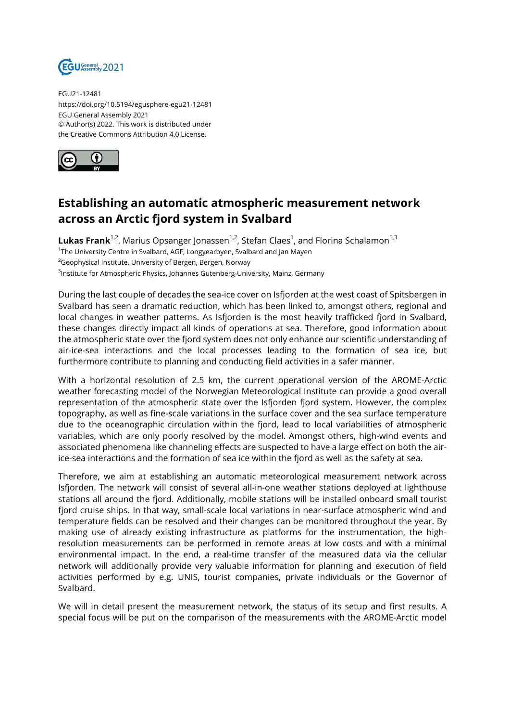

EGU21-12481 https://doi.org/10.5194/egusphere-egu21-12481 EGU General Assembly 2021 © Author(s) 2022. This work is distributed under the Creative Commons Attribution 4.0 License.



## **Establishing an automatic atmospheric measurement network across an Arctic fjord system in Svalbard**

 ${\sf Lukas}$   ${\sf Frank}^{1,2}$ , Marius Opsanger Jonassen $^{1,2}$ , Stefan Claes $^1$ , and Florina Schalamon $^{1,3}$ <sup>1</sup>The University Centre in Svalbard, AGF, Longyearbyen, Svalbard and Jan Mayen <sup>2</sup>Geophysical Institute, University of Bergen, Bergen, Norway  $^3$ Institute for Atmospheric Physics, Johannes Gutenberg-University, Mainz, Germany

During the last couple of decades the sea-ice cover on Isfjorden at the west coast of Spitsbergen in Svalbard has seen a dramatic reduction, which has been linked to, amongst others, regional and local changes in weather patterns. As Isfjorden is the most heavily trafficked fjord in Svalbard, these changes directly impact all kinds of operations at sea. Therefore, good information about the atmospheric state over the fjord system does not only enhance our scientific understanding of air-ice-sea interactions and the local processes leading to the formation of sea ice, but furthermore contribute to planning and conducting field activities in a safer manner.

With a horizontal resolution of 2.5 km, the current operational version of the AROME-Arctic weather forecasting model of the Norwegian Meteorological Institute can provide a good overall representation of the atmospheric state over the Isfjorden fjord system. However, the complex topography, as well as fine-scale variations in the surface cover and the sea surface temperature due to the oceanographic circulation within the fjord, lead to local variabilities of atmospheric variables, which are only poorly resolved by the model. Amongst others, high-wind events and associated phenomena like channeling effects are suspected to have a large effect on both the airice-sea interactions and the formation of sea ice within the fjord as well as the safety at sea.

Therefore, we aim at establishing an automatic meteorological measurement network across Isfjorden. The network will consist of several all-in-one weather stations deployed at lighthouse stations all around the fjord. Additionally, mobile stations will be installed onboard small tourist fjord cruise ships. In that way, small-scale local variations in near-surface atmospheric wind and temperature fields can be resolved and their changes can be monitored throughout the year. By making use of already existing infrastructure as platforms for the instrumentation, the highresolution measurements can be performed in remote areas at low costs and with a minimal environmental impact. In the end, a real-time transfer of the measured data via the cellular network will additionally provide very valuable information for planning and execution of field activities performed by e.g. UNIS, tourist companies, private individuals or the Governor of Svalbard.

We will in detail present the measurement network, the status of its setup and first results. A special focus will be put on the comparison of the measurements with the AROME-Arctic model